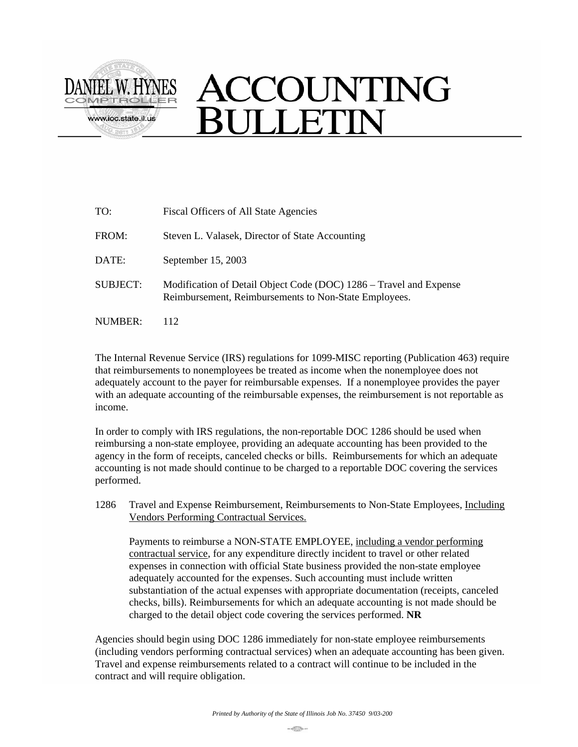

| TO:             | <b>Fiscal Officers of All State Agencies</b>                                                                                |
|-----------------|-----------------------------------------------------------------------------------------------------------------------------|
| FROM:           | Steven L. Valasek, Director of State Accounting                                                                             |
| DATE:           | September 15, 2003                                                                                                          |
| <b>SUBJECT:</b> | Modification of Detail Object Code (DOC) 1286 – Travel and Expense<br>Reimbursement, Reimbursements to Non-State Employees. |
| NUMBER:         | 112                                                                                                                         |

The Internal Revenue Service (IRS) regulations for 1099-MISC reporting (Publication 463) require that reimbursements to nonemployees be treated as income when the nonemployee does not adequately account to the payer for reimbursable expenses. If a nonemployee provides the payer with an adequate accounting of the reimbursable expenses, the reimbursement is not reportable as income.

In order to comply with IRS regulations, the non-reportable DOC 1286 should be used when reimbursing a non-state employee, providing an adequate accounting has been provided to the agency in the form of receipts, canceled checks or bills. Reimbursements for which an adequate accounting is not made should continue to be charged to a reportable DOC covering the services performed.

1286 Travel and Expense Reimbursement, Reimbursements to Non-State Employees, Including Vendors Performing Contractual Services.

Payments to reimburse a NON-STATE EMPLOYEE, including a vendor performing contractual service, for any expenditure directly incident to travel or other related expenses in connection with official State business provided the non-state employee adequately accounted for the expenses. Such accounting must include written substantiation of the actual expenses with appropriate documentation (receipts, canceled checks, bills). Reimbursements for which an adequate accounting is not made should be charged to the detail object code covering the services performed. **NR**

Agencies should begin using DOC 1286 immediately for non-state employee reimbursements (including vendors performing contractual services) when an adequate accounting has been given. Travel and expense reimbursements related to a contract will continue to be included in the contract and will require obligation.